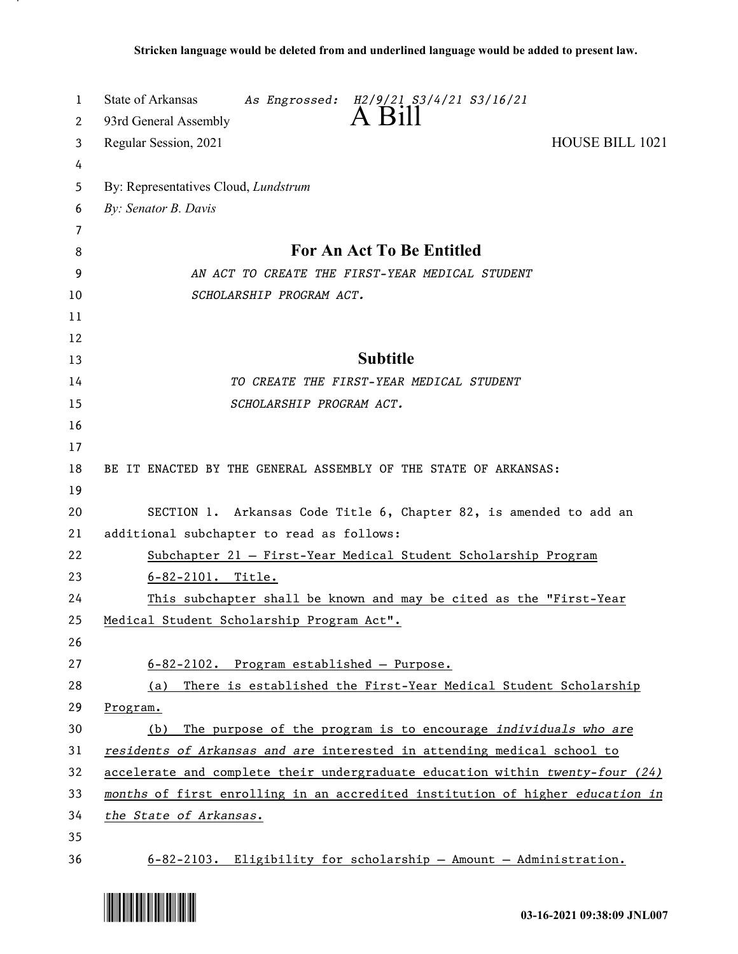| 1  | State of Arkansas<br>As Engrossed: H2/9/21 S3/4/21 S3/16/21                   |
|----|-------------------------------------------------------------------------------|
| 2  | A Bill<br>93rd General Assembly                                               |
| 3  | <b>HOUSE BILL 1021</b><br>Regular Session, 2021                               |
| 4  |                                                                               |
| 5  | By: Representatives Cloud, <i>Lundstrum</i>                                   |
| 6  | By: Senator B. Davis                                                          |
| 7  |                                                                               |
| 8  | For An Act To Be Entitled                                                     |
| 9  | AN ACT TO CREATE THE FIRST-YEAR MEDICAL STUDENT                               |
| 10 | SCHOLARSHIP PROGRAM ACT.                                                      |
| 11 |                                                                               |
| 12 |                                                                               |
| 13 | <b>Subtitle</b>                                                               |
| 14 | TO CREATE THE FIRST-YEAR MEDICAL STUDENT                                      |
| 15 | SCHOLARSHIP PROGRAM ACT.                                                      |
| 16 |                                                                               |
| 17 |                                                                               |
| 18 | BE IT ENACTED BY THE GENERAL ASSEMBLY OF THE STATE OF ARKANSAS:               |
| 19 |                                                                               |
| 20 | SECTION 1. Arkansas Code Title 6, Chapter 82, is amended to add an            |
| 21 | additional subchapter to read as follows:                                     |
| 22 | Subchapter 21 - First-Year Medical Student Scholarship Program                |
| 23 | $6 - 82 - 2101$ . Title.                                                      |
| 24 | This subchapter shall be known and may be cited as the "First-Year            |
| 25 | Medical Student Scholarship Program Act".                                     |
| 26 |                                                                               |
| 27 | 6-82-2102. Program established - Purpose.                                     |
| 28 | There is established the First-Year Medical Student Scholarship<br>(a)        |
| 29 | Program.                                                                      |
| 30 | The purpose of the program is to encourage individuals who are<br>(b)         |
| 31 | residents of Arkansas and are interested in attending medical school to       |
| 32 | accelerate and complete their undergraduate education within twenty-four (24) |
| 33 | months of first enrolling in an accredited institution of higher education in |
| 34 | the State of Arkansas.                                                        |
| 35 |                                                                               |
| 36 | $6-82-2103$ . Eligibility for scholarship - Amount - Administration.          |

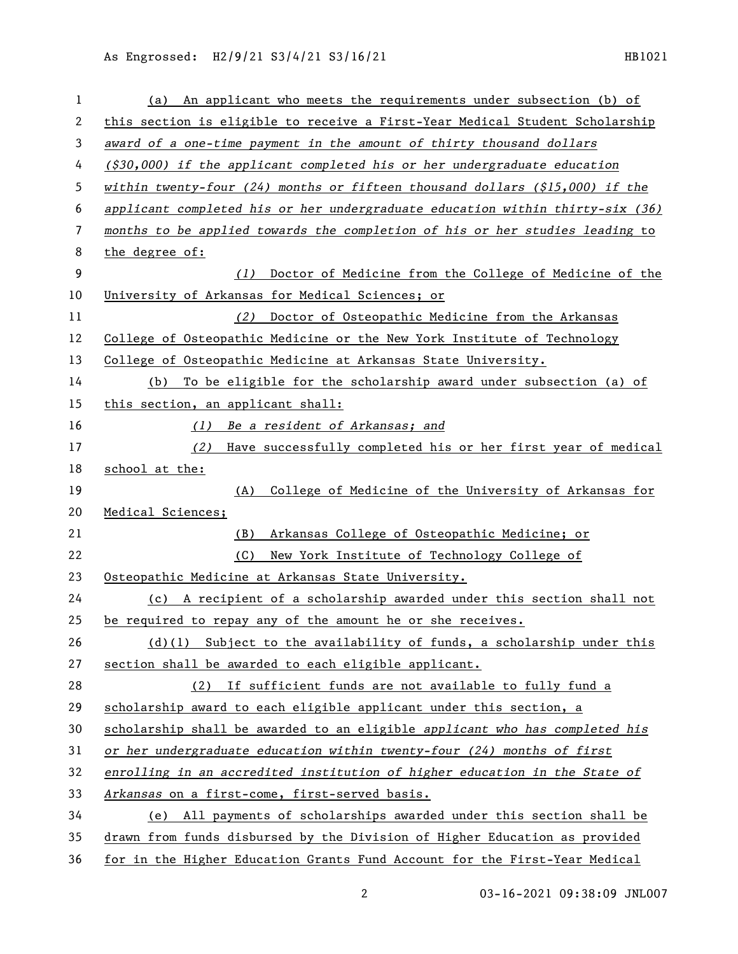As Engrossed: H2/9/21 S3/4/21 S3/16/21 120 120 130 131021

| 1  | An applicant who meets the requirements under subsection (b) of<br>(a)        |
|----|-------------------------------------------------------------------------------|
| 2  | this section is eligible to receive a First-Year Medical Student Scholarship  |
| 3  | award of a one-time payment in the amount of thirty thousand dollars          |
| 4  | $($ \$30,000) if the applicant completed his or her undergraduate education   |
| 5  | within twenty-four (24) months or fifteen thousand dollars $($15,000)$ if the |
| 6  | applicant completed his or her undergraduate education within thirty-six (36) |
| 7  | months to be applied towards the completion of his or her studies leading to  |
| 8  | the degree of:                                                                |
| 9  | Doctor of Medicine from the College of Medicine of the<br>(1)                 |
| 10 | University of Arkansas for Medical Sciences; or                               |
| 11 | Doctor of Osteopathic Medicine from the Arkansas<br>(2)                       |
| 12 | College of Osteopathic Medicine or the New York Institute of Technology       |
| 13 | College of Osteopathic Medicine at Arkansas State University.                 |
| 14 | To be eligible for the scholarship award under subsection (a) of<br>(b)       |
| 15 | this section, an applicant shall:                                             |
| 16 | Be a resident of Arkansas; and<br>(1)                                         |
| 17 | Have successfully completed his or her first year of medical<br>(2)           |
| 18 | school at the:                                                                |
| 19 | College of Medicine of the University of Arkansas for<br>(A)                  |
| 20 | Medical Sciences;                                                             |
| 21 | Arkansas College of Osteopathic Medicine; or<br>(B)                           |
| 22 | New York Institute of Technology College of<br>(C)                            |
| 23 | Osteopathic Medicine at Arkansas State University.                            |
| 24 | (c) A recipient of a scholarship awarded under this section shall not         |
| 25 | be required to repay any of the amount he or she receives.                    |
| 26 | $(d)(1)$ Subject to the availability of funds, a scholarship under this       |
| 27 | section shall be awarded to each eligible applicant.                          |
| 28 | (2) If sufficient funds are not available to fully fund a                     |
| 29 | scholarship award to each eligible applicant under this section, a            |
| 30 | scholarship shall be awarded to an eligible applicant who has completed his   |
| 31 | or her undergraduate education within twenty-four (24) months of first        |
| 32 | enrolling in an accredited institution of higher education in the State of    |
| 33 | Arkansas on a first-come, first-served basis.                                 |
| 34 | (e) All payments of scholarships awarded under this section shall be          |
| 35 | drawn from funds disbursed by the Division of Higher Education as provided    |
| 36 | for in the Higher Education Grants Fund Account for the First-Year Medical    |